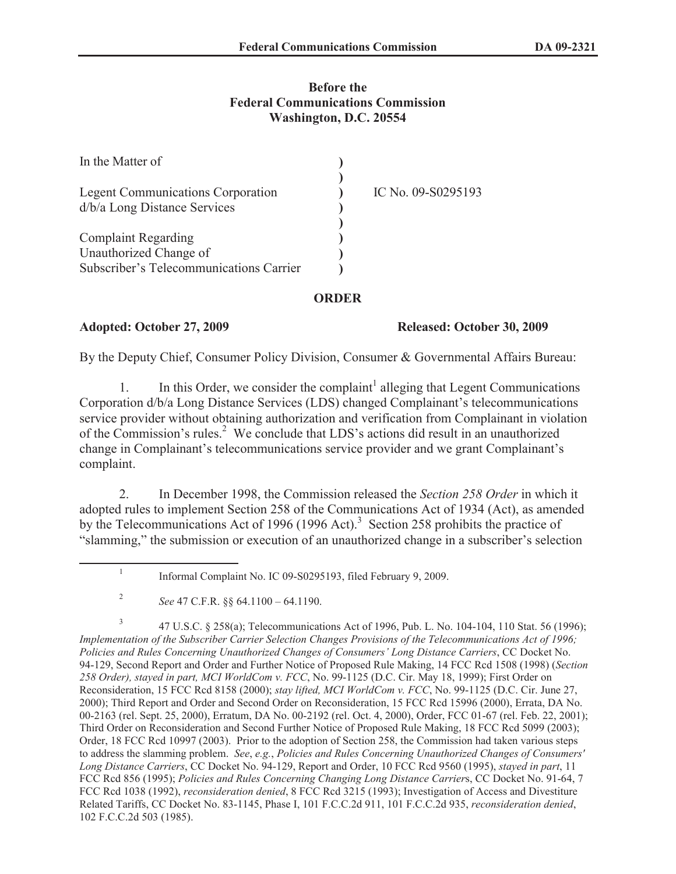# **Before the Federal Communications Commission Washington, D.C. 20554**

| In the Matter of                                                         |                    |
|--------------------------------------------------------------------------|--------------------|
| <b>Legent Communications Corporation</b><br>d/b/a Long Distance Services | IC No. 09-S0295193 |
| <b>Complaint Regarding</b>                                               |                    |
| Unauthorized Change of                                                   |                    |
| Subscriber's Telecommunications Carrier                                  |                    |

## **ORDER**

### **Adopted: October 27, 2009 Released: October 30, 2009**

By the Deputy Chief, Consumer Policy Division, Consumer & Governmental Affairs Bureau:

1. In this Order, we consider the complaint<sup>1</sup> alleging that Legent Communications Corporation d/b/a Long Distance Services (LDS) changed Complainant's telecommunications service provider without obtaining authorization and verification from Complainant in violation of the Commission's rules.<sup>2</sup> We conclude that LDS's actions did result in an unauthorized change in Complainant's telecommunications service provider and we grant Complainant's complaint.

2. In December 1998, the Commission released the *Section 258 Order* in which it adopted rules to implement Section 258 of the Communications Act of 1934 (Act), as amended by the Telecommunications Act of 1996 (1996 Act).<sup>3</sup> Section 258 prohibits the practice of "slamming," the submission or execution of an unauthorized change in a subscriber's selection

3 47 U.S.C. § 258(a); Telecommunications Act of 1996, Pub. L. No. 104-104, 110 Stat. 56 (1996); *Implementation of the Subscriber Carrier Selection Changes Provisions of the Telecommunications Act of 1996; Policies and Rules Concerning Unauthorized Changes of Consumers' Long Distance Carriers*, CC Docket No. 94-129, Second Report and Order and Further Notice of Proposed Rule Making, 14 FCC Rcd 1508 (1998) (*Section 258 Order), stayed in part, MCI WorldCom v. FCC*, No. 99-1125 (D.C. Cir. May 18, 1999); First Order on Reconsideration, 15 FCC Rcd 8158 (2000); *stay lifted, MCI WorldCom v. FCC*, No. 99-1125 (D.C. Cir. June 27, 2000); Third Report and Order and Second Order on Reconsideration, 15 FCC Rcd 15996 (2000), Errata, DA No. 00-2163 (rel. Sept. 25, 2000), Erratum, DA No. 00-2192 (rel. Oct. 4, 2000), Order, FCC 01-67 (rel. Feb. 22, 2001); Third Order on Reconsideration and Second Further Notice of Proposed Rule Making, 18 FCC Rcd 5099 (2003); Order, 18 FCC Rcd 10997 (2003). Prior to the adoption of Section 258, the Commission had taken various steps to address the slamming problem. *See*, *e.g.*, *Policies and Rules Concerning Unauthorized Changes of Consumers' Long Distance Carriers*, CC Docket No. 94-129, Report and Order, 10 FCC Rcd 9560 (1995), *stayed in part*, 11 FCC Rcd 856 (1995); *Policies and Rules Concerning Changing Long Distance Carrier*s, CC Docket No. 91-64, 7 FCC Rcd 1038 (1992), *reconsideration denied*, 8 FCC Rcd 3215 (1993); Investigation of Access and Divestiture Related Tariffs, CC Docket No. 83-1145, Phase I, 101 F.C.C.2d 911, 101 F.C.C.2d 935, *reconsideration denied*, 102 F.C.C.2d 503 (1985).

<sup>1</sup> Informal Complaint No. IC 09-S0295193, filed February 9, 2009.

<sup>2</sup> *See* 47 C.F.R. §§ 64.1100 – 64.1190.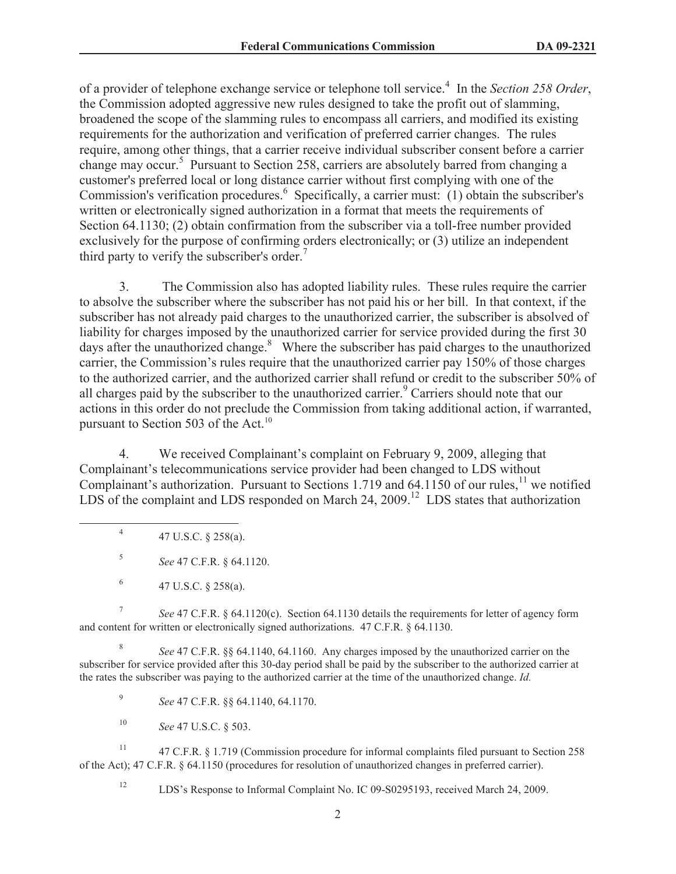of a provider of telephone exchange service or telephone toll service.<sup>4</sup> In the *Section 258 Order*, the Commission adopted aggressive new rules designed to take the profit out of slamming, broadened the scope of the slamming rules to encompass all carriers, and modified its existing requirements for the authorization and verification of preferred carrier changes. The rules require, among other things, that a carrier receive individual subscriber consent before a carrier change may occur.<sup>5</sup> Pursuant to Section 258, carriers are absolutely barred from changing a customer's preferred local or long distance carrier without first complying with one of the Commission's verification procedures.<sup>6</sup> Specifically, a carrier must: (1) obtain the subscriber's written or electronically signed authorization in a format that meets the requirements of Section 64.1130; (2) obtain confirmation from the subscriber via a toll-free number provided exclusively for the purpose of confirming orders electronically; or (3) utilize an independent third party to verify the subscriber's order.<sup>7</sup>

3. The Commission also has adopted liability rules. These rules require the carrier to absolve the subscriber where the subscriber has not paid his or her bill. In that context, if the subscriber has not already paid charges to the unauthorized carrier, the subscriber is absolved of liability for charges imposed by the unauthorized carrier for service provided during the first 30 days after the unauthorized change.<sup>8</sup> Where the subscriber has paid charges to the unauthorized carrier, the Commission's rules require that the unauthorized carrier pay 150% of those charges to the authorized carrier, and the authorized carrier shall refund or credit to the subscriber 50% of all charges paid by the subscriber to the unauthorized carrier.<sup>9</sup> Carriers should note that our actions in this order do not preclude the Commission from taking additional action, if warranted, pursuant to Section 503 of the Act.<sup>10</sup>

4. We received Complainant's complaint on February 9, 2009, alleging that Complainant's telecommunications service provider had been changed to LDS without Complainant's authorization. Pursuant to Sections 1.719 and 64.1150 of our rules,<sup>11</sup> we notified LDS of the complaint and LDS responded on March 24, 2009.<sup>12</sup> LDS states that authorization

4 47 U.S.C. § 258(a).

5 *See* 47 C.F.R. § 64.1120.

6 47 U.S.C. § 258(a).

7 *See* 47 C.F.R. § 64.1120(c). Section 64.1130 details the requirements for letter of agency form and content for written or electronically signed authorizations. 47 C.F.R. § 64.1130.

8 *See* 47 C.F.R. §§ 64.1140, 64.1160. Any charges imposed by the unauthorized carrier on the subscriber for service provided after this 30-day period shall be paid by the subscriber to the authorized carrier at the rates the subscriber was paying to the authorized carrier at the time of the unauthorized change. *Id.*

9 *See* 47 C.F.R. §§ 64.1140, 64.1170.

<sup>10</sup> *See* 47 U.S.C. § 503.

<sup>11</sup> 47 C.F.R. § 1.719 (Commission procedure for informal complaints filed pursuant to Section 258 of the Act); 47 C.F.R. § 64.1150 (procedures for resolution of unauthorized changes in preferred carrier).

<sup>12</sup> LDS's Response to Informal Complaint No. IC 09-S0295193, received March 24, 2009.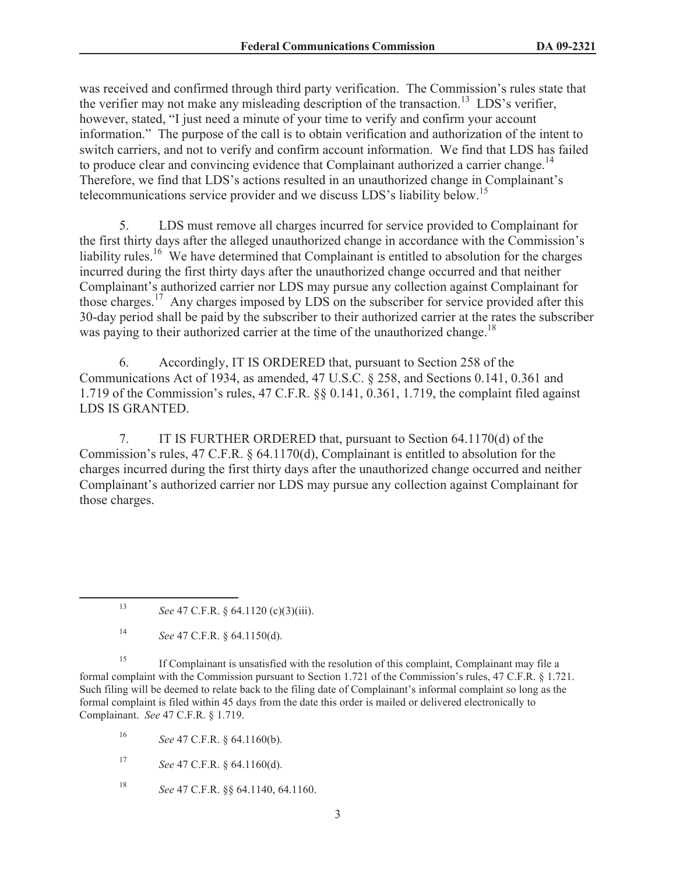was received and confirmed through third party verification. The Commission's rules state that the verifier may not make any misleading description of the transaction.<sup>13</sup> LDS's verifier, however, stated, "I just need a minute of your time to verify and confirm your account information." The purpose of the call is to obtain verification and authorization of the intent to switch carriers, and not to verify and confirm account information. We find that LDS has failed to produce clear and convincing evidence that Complainant authorized a carrier change.<sup>14</sup> Therefore, we find that LDS's actions resulted in an unauthorized change in Complainant's telecommunications service provider and we discuss LDS's liability below.<sup>15</sup>

5. LDS must remove all charges incurred for service provided to Complainant for the first thirty days after the alleged unauthorized change in accordance with the Commission's liability rules.<sup>16</sup> We have determined that Complainant is entitled to absolution for the charges incurred during the first thirty days after the unauthorized change occurred and that neither Complainant's authorized carrier nor LDS may pursue any collection against Complainant for those charges.<sup>17</sup> Any charges imposed by LDS on the subscriber for service provided after this 30-day period shall be paid by the subscriber to their authorized carrier at the rates the subscriber was paying to their authorized carrier at the time of the unauthorized change.<sup>18</sup>

6. Accordingly, IT IS ORDERED that, pursuant to Section 258 of the Communications Act of 1934, as amended, 47 U.S.C. § 258, and Sections 0.141, 0.361 and 1.719 of the Commission's rules, 47 C.F.R. §§ 0.141, 0.361, 1.719, the complaint filed against LDS IS GRANTED.

7. IT IS FURTHER ORDERED that, pursuant to Section 64.1170(d) of the Commission's rules, 47 C.F.R. § 64.1170(d), Complainant is entitled to absolution for the charges incurred during the first thirty days after the unauthorized change occurred and neither Complainant's authorized carrier nor LDS may pursue any collection against Complainant for those charges.

<sup>15</sup> If Complainant is unsatisfied with the resolution of this complaint, Complainant may file a formal complaint with the Commission pursuant to Section 1.721 of the Commission's rules, 47 C.F.R. § 1.721. Such filing will be deemed to relate back to the filing date of Complainant's informal complaint so long as the formal complaint is filed within 45 days from the date this order is mailed or delivered electronically to Complainant. *See* 47 C.F.R. § 1.719.

<sup>16</sup> *See* 47 C.F.R. § 64.1160(b).

<sup>17</sup> *See* 47 C.F.R. § 64.1160(d).

<sup>18</sup> *See* 47 C.F.R. §§ 64.1140, 64.1160.

<sup>13</sup> *See* 47 C.F.R. § 64.1120 (c)(3)(iii).

<sup>14</sup> *See* 47 C.F.R. § 64.1150(d).